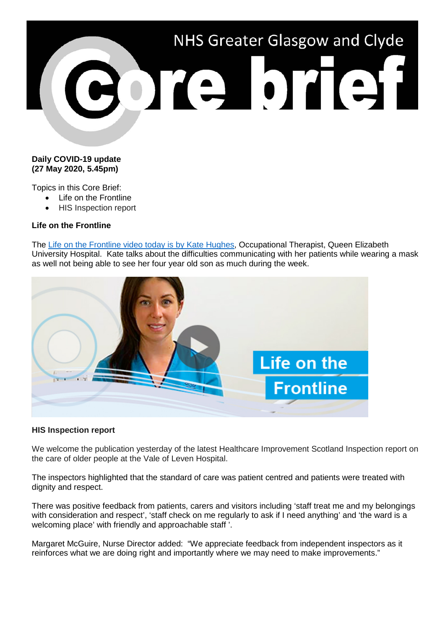

## **Daily COVID-19 update (27 May 2020, 5.45pm)**

Topics in this Core Brief:

- Life on the Frontline
- HIS Inspection report

## **Life on the Frontline**

The Life [on the Frontline video today is by Kate Hughes,](https://www.youtube.com/watch?v=ryK5JH2sRIw) Occupational Therapist, Queen Elizabeth University Hospital. Kate talks about the difficulties communicating with her patients while wearing a mask as well not being able to see her four year old son as much during the week.



## **HIS Inspection report**

We welcome the publication yesterday of the latest Healthcare Improvement Scotland Inspection report on the care of older people at the Vale of Leven Hospital.

The inspectors highlighted that the standard of care was patient centred and patients were treated with dignity and respect.

There was positive feedback from patients, carers and visitors including 'staff treat me and my belongings with consideration and respect', 'staff check on me regularly to ask if I need anything' and 'the ward is a welcoming place' with friendly and approachable staff '.

Margaret McGuire, Nurse Director added: "We appreciate feedback from independent inspectors as it reinforces what we are doing right and importantly where we may need to make improvements."